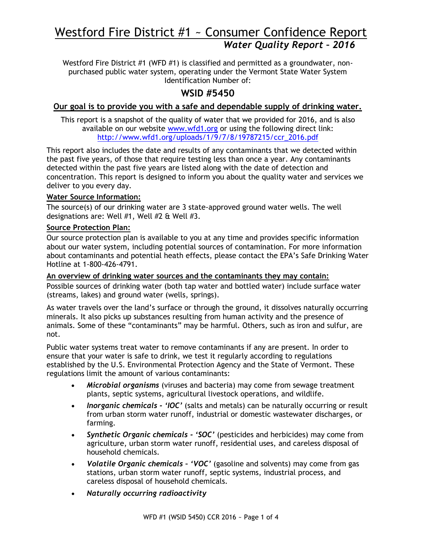# Westford Fire District #1 ~ Consumer Confidence Report *Water Quality Report – 2016*

Westford Fire District #1 (WFD #1) is classified and permitted as a groundwater, nonpurchased public water system, operating under the Vermont State Water System Identification Number of:

### **WSID #5450**

### **Our goal is to provide you with a safe and dependable supply of drinking water.**

This report is a snapshot of the quality of water that we provided for 2016, and is also available on our website [www.wfd1.org](http://www.wfd1.org/) or using the following direct link: [http://www.wfd1.org/uploads/1/9/7/8/19787215/ccr\\_2016.pdf](http://www.wfd1.org/uploads/1/9/7/8/19787215/ccr_2015.pdf)

This report also includes the date and results of any contaminants that we detected within the past five years, of those that require testing less than once a year. Any contaminants detected within the past five years are listed along with the date of detection and concentration. This report is designed to inform you about the quality water and services we deliver to you every day.

### **Water Source Information:**

The source(s) of our drinking water are 3 state-approved ground water wells. The well designations are: Well #1, Well #2 & Well #3.

### **Source Protection Plan:**

Our source protection plan is available to you at any time and provides specific information about our water system, including potential sources of contamination. For more information about contaminants and potential heath effects, please contact the EPA's Safe Drinking Water Hotline at 1-800-426-4791.

**An overview of drinking water sources and the contaminants they may contain:** Possible sources of drinking water (both tap water and bottled water) include surface water (streams, lakes) and ground water (wells, springs).

As water travels over the land's surface or through the ground, it dissolves naturally occurring minerals. It also picks up substances resulting from human activity and the presence of animals. Some of these "contaminants" may be harmful. Others, such as iron and sulfur, are not.

Public water systems treat water to remove contaminants if any are present. In order to ensure that your water is safe to drink, we test it regularly according to regulations established by the U.S. Environmental Protection Agency and the State of Vermont. These regulations limit the amount of various contaminants:

- *Microbial organisms* (viruses and bacteria) may come from sewage treatment plants, septic systems, agricultural livestock operations, and wildlife.
- *Inorganic chemicals - 'IOC'* (salts and metals) can be naturally occurring or result from urban storm water runoff, industrial or domestic wastewater discharges, or farming.
- *Synthetic Organic chemicals - 'SOC'* (pesticides and herbicides) may come from agriculture, urban storm water runoff, residential uses, and careless disposal of household chemicals.
- *Volatile Organic chemicals – 'VOC'* (gasoline and solvents) may come from gas stations, urban storm water runoff, septic systems, industrial process, and careless disposal of household chemicals.
- *Naturally occurring radioactivity*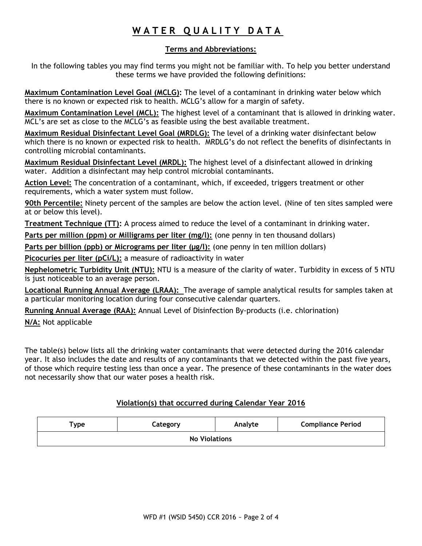## **W A T E R Q U A L I T Y D A T A**

### **Terms and Abbreviations:**

In the following tables you may find terms you might not be familiar with. To help you better understand these terms we have provided the following definitions:

**Maximum Contamination Level Goal (MCLG):** The level of a contaminant in drinking water below which there is no known or expected risk to health. MCLG's allow for a margin of safety.

**Maximum Contamination Level (MCL):** The highest level of a contaminant that is allowed in drinking water. MCL's are set as close to the MCLG's as feasible using the best available treatment.

**Maximum Residual Disinfectant Level Goal (MRDLG):** The level of a drinking water disinfectant below which there is no known or expected risk to health. MRDLG's do not reflect the benefits of disinfectants in controlling microbial contaminants.

**Maximum Residual Disinfectant Level (MRDL):** The highest level of a disinfectant allowed in drinking water. Addition a disinfectant may help control microbial contaminants.

**Action Level:** The concentration of a contaminant, which, if exceeded, triggers treatment or other requirements, which a water system must follow.

**90th Percentile:** Ninety percent of the samples are below the action level. (Nine of ten sites sampled were at or below this level).

**Treatment Technique (TT):** A process aimed to reduce the level of a contaminant in drinking water.

Parts per million (ppm) or Milligrams per liter (mg/l): (one penny in ten thousand dollars)

Parts per billion (ppb) or Micrograms per liter (µg/l): (one penny in ten million dollars)

**Picocuries per liter (pCi/L):** a measure of radioactivity in water

**Nephelometric Turbidity Unit (NTU):** NTU is a measure of the clarity of water. Turbidity in excess of 5 NTU is just noticeable to an average person.

**Locational Running Annual Average (LRAA):** The average of sample analytical results for samples taken at a particular monitoring location during four consecutive calendar quarters.

**Running Annual Average (RAA):** Annual Level of Disinfection By-products (i.e. chlorination)

**N/A:** Not applicable

The table(s) below lists all the drinking water contaminants that were detected during the 2016 calendar year. It also includes the date and results of any contaminants that we detected within the past five years, of those which require testing less than once a year. The presence of these contaminants in the water does not necessarily show that our water poses a health risk.

### **Violation(s) that occurred during Calendar Year 2016**

| $r_{\rm YDe}$        | Category | Analyte | <b>Compliance Period</b> |  |  |  |  |
|----------------------|----------|---------|--------------------------|--|--|--|--|
| <b>No Violations</b> |          |         |                          |  |  |  |  |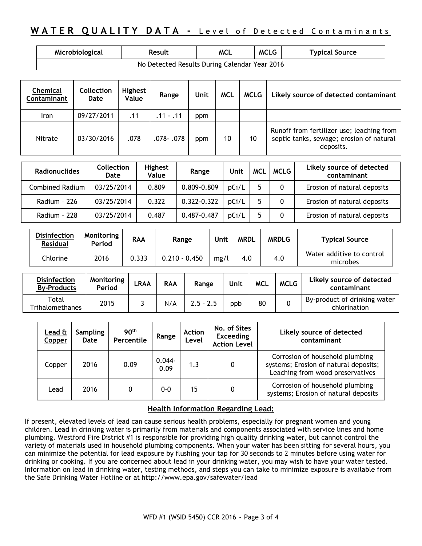### **WATER QUALITY DATA - Level of Detected Contaminants**

| Microbiological | Result                                        | MCL | <b>MCLG</b> | <b>Typical Source</b> |
|-----------------|-----------------------------------------------|-----|-------------|-----------------------|
|                 | No Detected Results During Calendar Year 2016 |     |             |                       |

| Chemical<br>Contaminant | Collection<br>Date | <b>Highest</b><br>Value | Range       | Unit | <b>MCL</b> | <b>MCLG</b> | Likely source of detected contaminant                                                              |
|-------------------------|--------------------|-------------------------|-------------|------|------------|-------------|----------------------------------------------------------------------------------------------------|
| Iron                    | 09/27/2011         | .11                     | $.11 - .11$ | ppm  |            |             |                                                                                                    |
| Nitrate                 | 03/30/2016         | .078                    | .078- .078  | ppm  | 10         | 10          | Runoff from fertilizer use; leaching from<br>septic tanks, sewage; erosion of natural<br>deposits. |

| <b>Radionuclides</b> | Collection<br>Date | <b>Highest</b><br>Value | Range       | Unit  | <b>MCL</b> | <b>MCLG</b> | Likely source of detected<br>contaminant |
|----------------------|--------------------|-------------------------|-------------|-------|------------|-------------|------------------------------------------|
| Combined Radium      | 03/25/2014         | 0.809                   | 0.809-0.809 | DCi/L |            |             | Erosion of natural deposits              |
| Radium - 226         | 03/25/2014         | 0.322                   | 0.322-0.322 | pCi/L |            |             | Erosion of natural deposits              |
| Radium - 228         | 03/25/2014         | 0.487                   | 0.487-0.487 | pCi/L |            |             | Erosion of natural deposits              |

| <b>Disinfection</b><br><b>Residual</b> | Monitoring<br>Period | <b>RAA</b> | Range           | Unit | <b>MRDL</b> | <b>MRDLG</b> | <b>Typical Source</b>                 |
|----------------------------------------|----------------------|------------|-----------------|------|-------------|--------------|---------------------------------------|
| Chlorine                               | 2016                 | 0.333      | $0.210 - 0.450$ | mg/l | 4.0         | 4.0          | Water additive to control<br>microbes |

| <b>Disinfection</b><br><b>By-Products</b> | Monitoring<br>Period | LRAA | <b>RAA</b> | Range       | Unit | <b>MCL</b> | <b>MCLG</b> | Likely source of detected<br>contaminant     |
|-------------------------------------------|----------------------|------|------------|-------------|------|------------|-------------|----------------------------------------------|
| Total<br>Trihalomethanes                  | 2015                 |      | N/A        | $2.5 - 2.5$ | ppb  | 80         |             | By-product of drinking water<br>chlorination |

| Lead &<br>Copper | <b>Sampling</b><br>Date | 90 <sup>th</sup><br>Percentile | Range             | <b>Action</b><br>Level | No. of Sites<br><b>Exceeding</b><br><b>Action Level</b> | Likely source of detected<br>contaminant                                                                     |
|------------------|-------------------------|--------------------------------|-------------------|------------------------|---------------------------------------------------------|--------------------------------------------------------------------------------------------------------------|
| Copper           | 2016                    | 0.09                           | $0.044 -$<br>0.09 | 1.3                    | 0                                                       | Corrosion of household plumbing<br>systems; Erosion of natural deposits;<br>Leaching from wood preservatives |
| Lead             | 2016                    | 0                              | 0-0               | 15                     | 0                                                       | Corrosion of household plumbing<br>systems; Erosion of natural deposits                                      |

### **Health Information Regarding Lead:**

If present, elevated levels of lead can cause serious health problems, especially for pregnant women and young children. Lead in drinking water is primarily from materials and components associated with service lines and home plumbing. Westford Fire District #1 is responsible for providing high quality drinking water, but cannot control the variety of materials used in household plumbing components. When your water has been sitting for several hours, you can minimize the potential for lead exposure by flushing your tap for 30 seconds to 2 minutes before using water for drinking or cooking. If you are concerned about lead in your drinking water, you may wish to have your water tested. Information on lead in drinking water, testing methods, and steps you can take to minimize exposure is available from the Safe Drinking Water Hotline or at <http://www.epa.gov/safewater/lead>